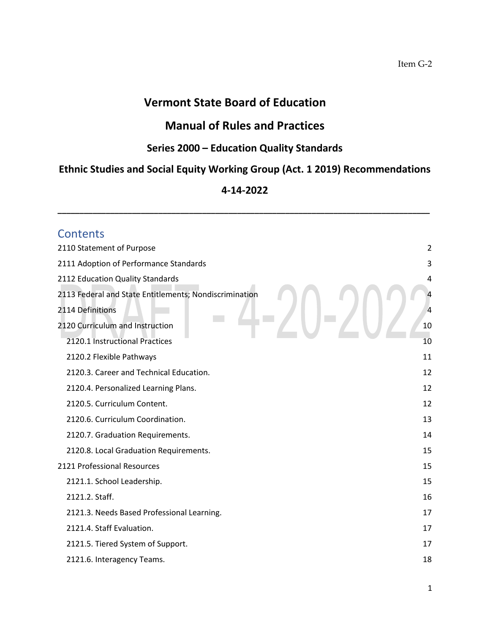# **Vermont State Board of Education**

# **Manual of Rules and Practices**

### **Series 2000 – Education Quality Standards**

# **Ethnic Studies and Social Equity Working Group (Act. 1 2019) Recommendations**

### **4-14-2022**

**\_\_\_\_\_\_\_\_\_\_\_\_\_\_\_\_\_\_\_\_\_\_\_\_\_\_\_\_\_\_\_\_\_\_\_\_\_\_\_\_\_\_\_\_\_\_\_\_\_\_\_\_\_\_\_\_\_\_\_\_\_\_\_\_\_\_\_\_\_\_\_\_\_\_\_\_\_\_\_\_\_\_\_\_\_**

| <b>Contents</b>                                        |
|--------------------------------------------------------|
| 2110 Statement of Purpose<br>$\overline{2}$            |
| 2111 Adoption of Performance Standards<br>3            |
| 2112 Education Quality Standards<br>4                  |
| 2113 Federal and State Entitlements; Nondiscrimination |
| 2114 Definitions<br>$\overline{4}$                     |
| 2120 Curriculum and Instruction<br>10                  |
| 2120.1 Instructional Practices<br>10                   |
| 2120.2 Flexible Pathways<br>11                         |
| 2120.3. Career and Technical Education.<br>12          |
| 2120.4. Personalized Learning Plans.<br>12             |
| 2120.5. Curriculum Content.<br>12                      |
| 2120.6. Curriculum Coordination.<br>13                 |
| 2120.7. Graduation Requirements.<br>14                 |
| 15<br>2120.8. Local Graduation Requirements.           |
| 2121 Professional Resources<br>15                      |
| 15<br>2121.1. School Leadership.                       |
| 16<br>2121.2. Staff.                                   |
| 2121.3. Needs Based Professional Learning.<br>17       |
| 2121.4. Staff Evaluation.<br>17                        |
| 2121.5. Tiered System of Support.<br>17                |
| 18<br>2121.6. Interagency Teams.                       |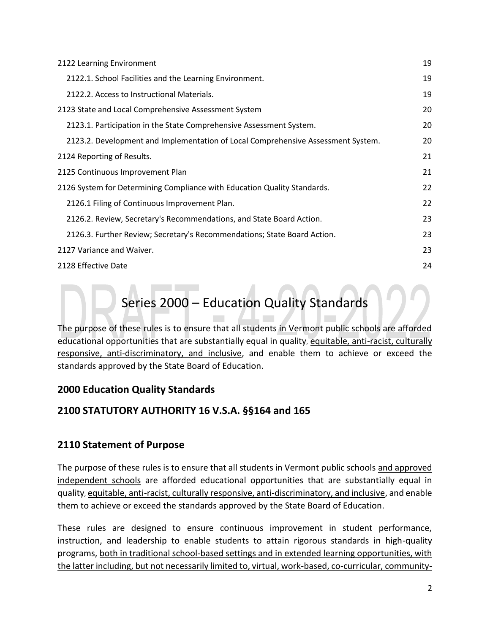| 2122 Learning Environment                                                        | 19 |
|----------------------------------------------------------------------------------|----|
| 2122.1. School Facilities and the Learning Environment.                          | 19 |
| 2122.2. Access to Instructional Materials.                                       | 19 |
| 2123 State and Local Comprehensive Assessment System                             | 20 |
| 2123.1. Participation in the State Comprehensive Assessment System.              | 20 |
| 2123.2. Development and Implementation of Local Comprehensive Assessment System. | 20 |
| 2124 Reporting of Results.                                                       | 21 |
| 2125 Continuous Improvement Plan                                                 | 21 |
| 2126 System for Determining Compliance with Education Quality Standards.         | 22 |
| 2126.1 Filing of Continuous Improvement Plan.                                    | 22 |
| 2126.2. Review, Secretary's Recommendations, and State Board Action.             | 23 |
| 2126.3. Further Review; Secretary's Recommendations; State Board Action.         | 23 |
| 2127 Variance and Waiver.                                                        | 23 |
| 2128 Effective Date                                                              | 24 |

# Series 2000 – Education Quality Standards

The purpose of these rules is to ensure that all students in Vermont public schools are afforded educational opportunities that are substantially equal in quality, equitable, anti-racist, culturally responsive, anti-discriminatory, and inclusive, and enable them to achieve or exceed the standards approved by the State Board of Education.

### **2000 Education Quality Standards**

### **2100 STATUTORY AUTHORITY 16 V.S.A. §§164 and 165**

### <span id="page-1-0"></span>**2110 Statement of Purpose**

The purpose of these rules is to ensure that all students in Vermont public schools and approved independent schools are afforded educational opportunities that are substantially equal in quality, equitable, anti-racist, culturally responsive, anti-discriminatory, and inclusive, and enable them to achieve or exceed the standards approved by the State Board of Education.

These rules are designed to ensure continuous improvement in student performance, instruction, and leadership to enable students to attain rigorous standards in high-quality programs, both in traditional school-based settings and in extended learning opportunities, with the latter including, but not necessarily limited to, virtual, work-based, co-curricular, community-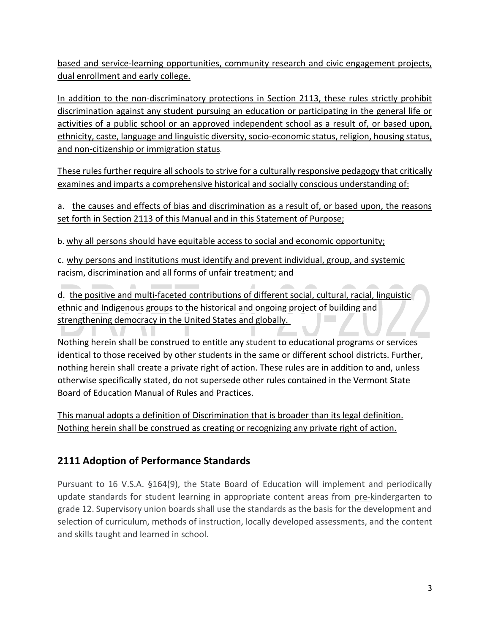based and service-learning opportunities, community research and civic engagement projects, dual enrollment and early college.

In addition to the non-discriminatory protections in Section 2113, these rules strictly prohibit discrimination against any student pursuing an education or participating in the general life or activities of a public school or an approved independent school as a result of, or based upon, ethnicity, caste, language and linguistic diversity, socio-economic status, religion, housing status, and non-citizenship or immigration status.

These rules further require all schools to strive for a culturally responsive pedagogy that critically examines and imparts a comprehensive historical and socially conscious understanding of:

a. the causes and effects of bias and discrimination as a result of, or based upon, the reasons set forth in Section 2113 of this Manual and in this Statement of Purpose;

b. why all persons should have equitable access to social and economic opportunity;

c. why persons and institutions must identify and prevent individual, group, and systemic racism, discrimination and all forms of unfair treatment; and

d. the positive and multi-faceted contributions of different social, cultural, racial, linguistic ethnic and Indigenous groups to the historical and ongoing project of building and strengthening democracy in the United States and globally.

Nothing herein shall be construed to entitle any student to educational programs or services identical to those received by other students in the same or different school districts. Further, nothing herein shall create a private right of action. These rules are in addition to and, unless otherwise specifically stated, do not supersede other rules contained in the Vermont State Board of Education Manual of Rules and Practices.

This manual adopts a definition of Discrimination that is broader than its legal definition. Nothing herein shall be construed as creating or recognizing any private right of action.

### <span id="page-2-0"></span>**2111 Adoption of Performance Standards**

Pursuant to 16 V.S.A. §164(9), the State Board of Education will implement and periodically update standards for student learning in appropriate content areas from pre-kindergarten to grade 12. Supervisory union boards shall use the standards as the basis for the development and selection of curriculum, methods of instruction, locally developed assessments, and the content and skills taught and learned in school.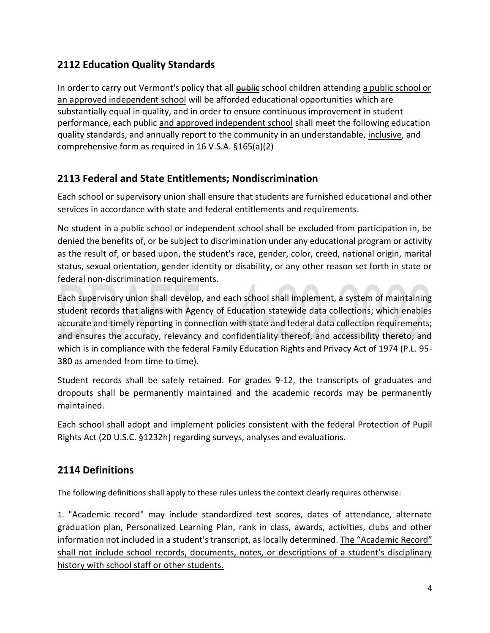### <span id="page-3-0"></span>**2112 Education Quality Standards**

In order to carry out Vermont's policy that all **public** school children attending a public school or an approved independent school will be afforded educational opportunities which are substantially equal in quality, and in order to ensure continuous improvement in student performance, each public and approved independent school shall meet the following education quality standards, and annually report to the community in an understandable, inclusive, and comprehensive form as required in 16 V.S.A. §165(a)(2)

### <span id="page-3-1"></span>**2113 Federal and State Entitlements; Nondiscrimination**

Each school or supervisory union shall ensure that students are furnished educational and other services in accordance with state and federal entitlements and requirements.

No student in a public school or independent school shall be excluded from participation in, be denied the benefits of, or be subject to discrimination under any educational program or activity as the result of, or based upon, the student's race, gender, color, creed, national origin, marital status, sexual orientation, gender identity or disability, or any other reason set forth in state or federal non-discrimination requirements.

Each supervisory union shall develop, and each school shall implement, a system of maintaining student records that aligns with Agency of Education statewide data collections; which enables accurate and timely reporting in connection with state and federal data collection requirements; and ensures the accuracy, relevancy and confidentiality thereof, and accessibility thereto; and which is in compliance with the federal Family Education Rights and Privacy Act of 1974 (P.L. 95- 380 as amended from time to time).

Student records shall be safely retained. For grades 9-12, the transcripts of graduates and dropouts shall be permanently maintained and the academic records may be permanently maintained.

Each school shall adopt and implement policies consistent with the federal Protection of Pupil Rights Act (20 U.S.C. §1232h) regarding surveys, analyses and evaluations.

### <span id="page-3-2"></span>**2114 Definitions**

The following definitions shall apply to these rules unless the context clearly requires otherwise:

1. "Academic record" may include standardized test scores, dates of attendance, alternate graduation plan, Personalized Learning Plan, rank in class, awards, activities, clubs and other information not included in a student's transcript, as locally determined. The "Academic Record" shall not include school records, documents, notes, or descriptions of a student's disciplinary history with school staff or other students.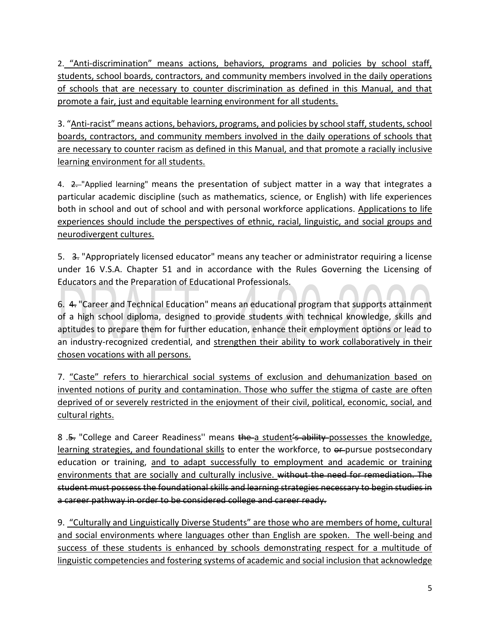2. "Anti-discrimination" means actions, behaviors, programs and policies by school staff, students, school boards, contractors, and community members involved in the daily operations of schools that are necessary to counter discrimination as defined in this Manual, and that promote a fair, just and equitable learning environment for all students.

3. "Anti-racist" means actions, behaviors, programs, and policies by school staff, students, school boards, contractors, and community members involved in the daily operations of schools that are necessary to counter racism as defined in this Manual, and that promote a racially inclusive learning environment for all students.

4. 2. "Applied learning" means the presentation of subject matter in a way that integrates a particular academic discipline (such as mathematics, science, or English) with life experiences both in school and out of school and with personal workforce applications. Applications to life experiences should include the perspectives of ethnic, racial, linguistic, and social groups and neurodivergent cultures.

5. 3. "Appropriately licensed educator" means any teacher or administrator requiring a license under 16 V.S.A. Chapter 51 and in accordance with the Rules Governing the Licensing of Educators and the Preparation of Educational Professionals.

6. 4. "Career and Technical Education" means an educational program that supports attainment of a high school diploma, designed to provide students with technical knowledge, skills and aptitudes to prepare them for further education, enhance their employment options or lead to an industry-recognized credential, and strengthen their ability to work collaboratively in their chosen vocations with all persons.

7. "Caste" refers to hierarchical social systems of exclusion and dehumanization based on invented notions of purity and contamination. Those who suffer the stigma of caste are often deprived of or severely restricted in the enjoyment of their civil, political, economic, social, and cultural rights.

8 .<del>5.</del> "College and Career Readiness" means the a student's ability possesses the knowledge, learning strategies, and foundational skills to enter the workforce, to  $e$ -pursue postsecondary education or training, and to adapt successfully to employment and academic or training environments that are socially and culturally inclusive. without the need for remediation. The student must possess the foundational skills and learning strategies necessary to begin studies in a career pathway in order to be considered college and career ready.

9. "Culturally and Linguistically Diverse Students" are those who are members of home, cultural and social environments where languages other than English are spoken. The well-being and success of these students is enhanced by schools demonstrating respect for a multitude of linguistic competencies and fostering systems of academic and social inclusion that acknowledge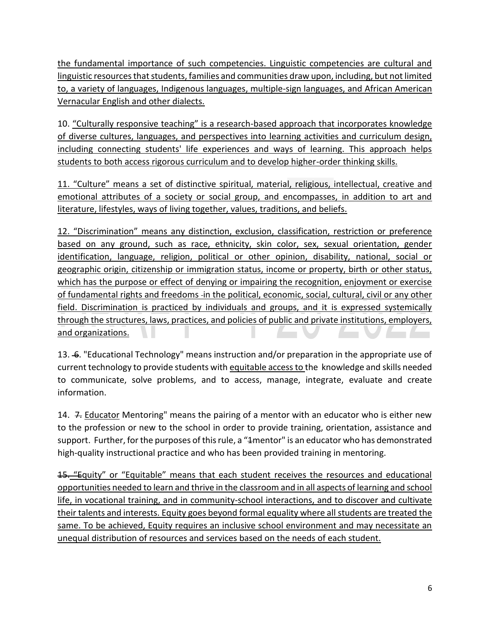the fundamental importance of such competencies. Linguistic competencies are cultural and linguistic resources that students, families and communities draw upon, including, but not limited to, a variety of languages, Indigenous languages, multiple-sign languages, and African American Vernacular English and other dialects.

10. "Culturally responsive teaching" is a research-based approach that incorporates knowledge of diverse cultures, languages, and perspectives into learning activities and curriculum design, including connecting students' life experiences and ways of learning. This approach helps students to both access rigorous curriculum and to develop higher-order thinking skills.

11. "Culture" means a set of distinctive spiritual, material, religious, intellectual, creative and emotional attributes of a society or social group, and encompasses, in addition to art and literature, lifestyles, ways of living together, values, traditions, and beliefs.

12. "Discrimination" means any distinction, exclusion, classification, restriction or preference based on any ground, such as race, ethnicity, skin color, sex, sexual orientation, gender identification, language, religion, political or other opinion, disability, national, social or geographic origin, citizenship or immigration status, income or property, birth or other status, which has the purpose or effect of denying or impairing the recognition, enjoyment or exercise of fundamental rights and freedoms in the political, economic, social, cultural, civil or any other field. Discrimination is practiced by individuals and groups, and it is expressed systemically through the structures, laws, practices, and policies of public and private institutions, employers, and organizations. 

13.  $\div$ . "Educational Technology" means instruction and/or preparation in the appropriate use of current technology to provide students with equitable access to the knowledge and skills needed to communicate, solve problems, and to access, manage, integrate, evaluate and create information.

14. 7. Educator Mentoring" means the pairing of a mentor with an educator who is either new to the profession or new to the school in order to provide training, orientation, assistance and support. Further, for the purposes of this rule, a "<del>1</del>mentor" is an educator who has demonstrated high-quality instructional practice and who has been provided training in mentoring.

**15. "Equity"** or "Equitable" means that each student receives the resources and educational opportunities needed to learn and thrive in the classroom and in all aspects of learning and school life, in vocational training, and in community-school interactions, and to discover and cultivate their talents and interests. Equity goes beyond formal equality where all students are treated the same. To be achieved, Equity requires an inclusive school environment and may necessitate an unequal distribution of resources and services based on the needs of each student.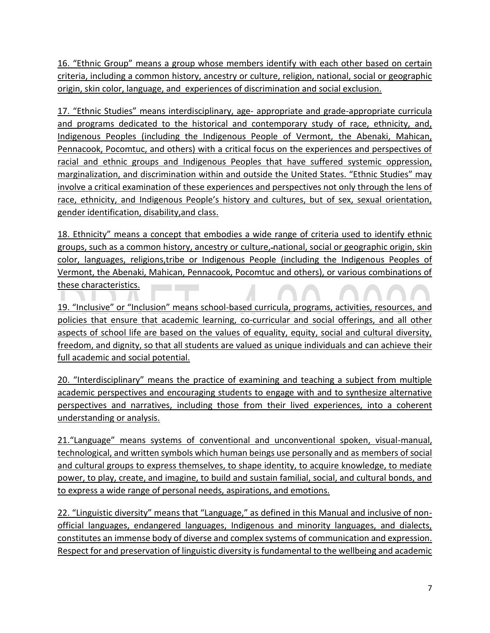16. "Ethnic Group" means a group whose members identify with each other based on certain criteria, including a common history, ancestry or culture, religion, national, social or geographic origin, skin color, language, and experiences of discrimination and social exclusion.

17. "Ethnic Studies" means interdisciplinary, age- appropriate and grade-appropriate curricula and programs dedicated to the historical and contemporary study of race, ethnicity, and, Indigenous Peoples (including the Indigenous People of Vermont, the Abenaki, Mahican, Pennacook, Pocomtuc, and others) with a critical focus on the experiences and perspectives of racial and ethnic groups and Indigenous Peoples that have suffered systemic oppression, marginalization, and discrimination within and outside the United States. "Ethnic Studies" may involve a critical examination of these experiences and perspectives not only through the lens of race, ethnicity, and Indigenous People's history and cultures, but of sex, sexual orientation, gender identification, disability,and class.

18. Ethnicity" means a concept that embodies a wide range of criteria used to identify ethnic groups, such as a common history, ancestry or culture, national, social or geographic origin, skin color, languages, religions,tribe or Indigenous People (including the Indigenous Peoples of Vermont, the Abenaki, Mahican, Pennacook, Pocomtuc and others), or various combinations of these characteristics. **The Common** 

19. "Inclusive" or "Inclusion" means school-based curricula, programs, activities, resources, and policies that ensure that academic learning, co-curricular and social offerings, and all other aspects of school life are based on the values of equality, equity, social and cultural diversity, freedom, and dignity, so that all students are valued as unique individuals and can achieve their full academic and social potential.

20. "Interdisciplinary" means the practice of examining and teaching a subject from multiple academic perspectives and encouraging students to engage with and to synthesize alternative perspectives and narratives, including those from their lived experiences, into a coherent understanding or analysis.

21."Language" means systems of conventional and unconventional spoken, visual-manual, technological, and written symbols which human beings use personally and as members of social and cultural groups to express themselves, to shape identity, to acquire knowledge, to mediate power, to play, create, and imagine, to build and sustain familial, social, and cultural bonds, and to express a wide range of personal needs, aspirations, and emotions.

22. "Linguistic diversity" means that "Language," as defined in this Manual and inclusive of nonofficial languages, endangered languages, Indigenous and minority languages, and dialects, constitutes an immense body of diverse and complex systems of communication and expression. Respect for and preservation of linguistic diversity is fundamental to the wellbeing and academic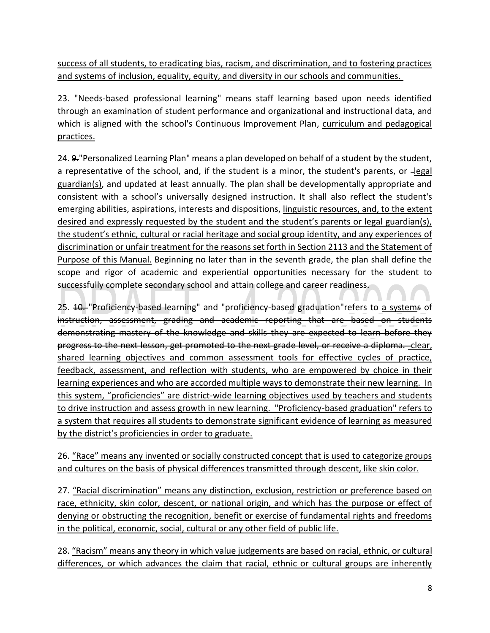success of all students, to eradicating bias, racism, and discrimination, and to fostering practices and systems of inclusion, equality, equity, and diversity in our schools and communities.

23. "Needs-based professional learning" means staff learning based upon needs identified through an examination of student performance and organizational and instructional data, and which is aligned with the school's Continuous Improvement Plan, curriculum and pedagogical practices.

24. 9."Personalized Learning Plan" means a plan developed on behalf of a student by the student, a representative of the school, and, if the student is a minor, the student's parents, or -legal guardian(s), and updated at least annually. The plan shall be developmentally appropriate and consistent with a school's universally designed instruction. It shall also reflect the student's emerging abilities, aspirations, interests and dispositions, linguistic resources, and, to the extent desired and expressly requested by the student and the student's parents or legal guardian(s), the student's ethnic, cultural or racial heritage and social group identity, and any experiences of discrimination or unfair treatment for the reasons set forth in Section 2113 and the Statement of Purpose of this Manual. Beginning no later than in the seventh grade, the plan shall define the scope and rigor of academic and experiential opportunities necessary for the student to successfully complete secondary school and attain college and career readiness.

25. 40. "Proficiency-based learning" and "proficiency-based graduation" refers to a systems of instruction, assessment, grading and academic reporting that are based on students demonstrating mastery of the knowledge and skills they are expected to learn before they progress to the next lesson, get promoted to the next grade level, or receive a diploma. - clear, shared learning objectives and common assessment tools for effective cycles of practice, feedback, assessment, and reflection with students, who are empowered by choice in their learning experiences and who are accorded multiple ways to demonstrate their new learning. In this system, "proficiencies" are district-wide learning objectives used by teachers and students to drive instruction and assess growth in new learning. "Proficiency-based graduation" refers to a system that requires all students to demonstrate significant evidence of learning as measured by the district's proficiencies in order to graduate.

26. "Race" means any invented or socially constructed concept that is used to categorize groups and cultures on the basis of physical differences transmitted through descent, like skin color.

27. "Racial discrimination" means any distinction, exclusion, restriction or preference based on race, ethnicity, skin color, descent, or national origin, and which has the purpose or effect of denying or obstructing the recognition, benefit or exercise of fundamental rights and freedoms in the political, economic, social, cultural or any other field of public life.

28. "Racism" means any theory in which value judgements are based on racial, ethnic, or cultural differences, or which advances the claim that racial, ethnic or cultural groups are inherently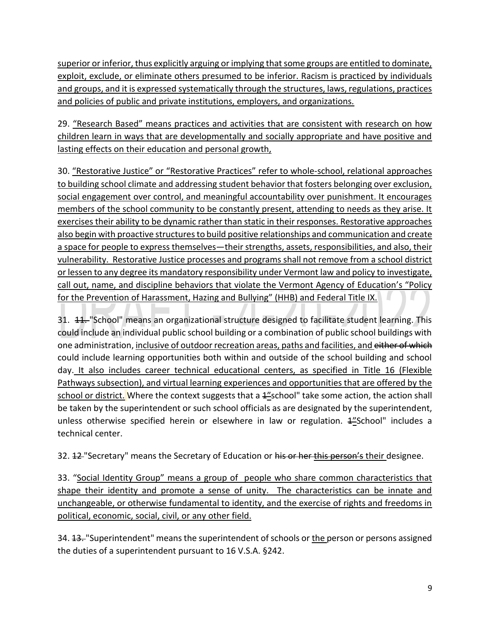superior or inferior, thus explicitly arguing or implying that some groups are entitled to dominate, exploit, exclude, or eliminate others presumed to be inferior. Racism is practiced by individuals and groups, and it is expressed systematically through the structures, laws, regulations, practices and policies of public and private institutions, employers, and organizations.

29. "Research Based" means practices and activities that are consistent with research on how children learn in ways that are developmentally and socially appropriate and have positive and lasting effects on their education and personal growth,

30. "Restorative Justice" or "Restorative Practices" refer to whole-school, relational approaches to building school climate and addressing student behavior that fosters belonging over exclusion, social engagement over control, and meaningful accountability over punishment. It encourages members of the school community to be constantly present, attending to needs as they arise. It exercises their ability to be dynamic rather than static in their responses. Restorative approaches also begin with proactive structures to build positive relationships and communication and create a space for people to express themselves—their strengths, assets, responsibilities, and also, their vulnerability. Restorative Justice processes and programs shall not remove from a school district or lessen to any degree its mandatory responsibility under Vermont law and policy to investigate, call out, name, and discipline behaviors that violate the Vermont Agency of Education's "Policy for the Prevention of Harassment, Hazing and Bullying" (HHB) and Federal Title IX.

31. 44. "School" means an organizational structure designed to facilitate student learning. This could include an individual public school building or a combination of public school buildings with one administration, inclusive of outdoor recreation areas, paths and facilities, and either of which could include learning opportunities both within and outside of the school building and school day. It also includes career technical educational centers, as specified in Title 16 (Flexible Pathways subsection), and virtual learning experiences and opportunities that are offered by the school or district. Where the context suggests that a 4"school" take some action, the action shall be taken by the superintendent or such school officials as are designated by the superintendent, unless otherwise specified herein or elsewhere in law or regulation.  $4\frac{1}{2}$ School" includes a technical center.

32. 12 "Secretary" means the Secretary of Education or his or her this person's their designee.

33. "Social Identity Group" means a group of people who share common characteristics that shape their identity and promote a sense of unity. The characteristics can be innate and unchangeable, or otherwise fundamental to identity, and the exercise of rights and freedoms in political, economic, social, civil, or any other field.

34. <del>13.</del> "Superintendent" means the superintendent of schools or the person or persons assigned the duties of a superintendent pursuant to 16 V.S.A. §242.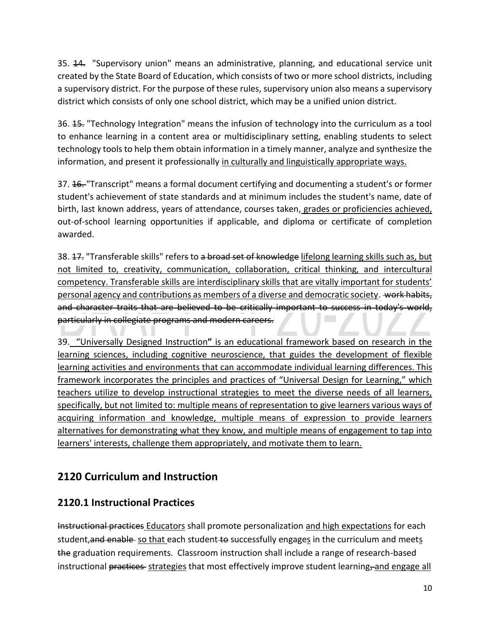35. 44. "Supervisory union" means an administrative, planning, and educational service unit created by the State Board of Education, which consists of two or more school districts, including a supervisory district. For the purpose of these rules, supervisory union also means a supervisory district which consists of only one school district, which may be a unified union district.

36. **45.** "Technology Integration" means the infusion of technology into the curriculum as a tool to enhance learning in a content area or multidisciplinary setting, enabling students to select technology tools to help them obtain information in a timely manner, analyze and synthesize the information, and present it professionally in culturally and linguistically appropriate ways.

37. **16.** "Transcript" means a formal document certifying and documenting a student's or former student's achievement of state standards and at minimum includes the student's name, date of birth, last known address, years of attendance, courses taken, grades or proficiencies achieved, out-of-school learning opportunities if applicable, and diploma or certificate of completion awarded.

38. <del>17.</del> "Transferable skills" refer<del>s</del> to a broad set of knowledge lifelong learning skills such as, but not limited to, creativity, communication, collaboration, critical thinking, and intercultural competency. Transferable skills are interdisciplinary skills that are vitally important for students' personal agency and contributions as members of a diverse and democratic society. work habits, and character traits that are believed to be critically important to success in today's world, particularly in collegiate programs and modern careers.

39. "Universally Designed Instruction**"** is an educational framework based on research in the learning sciences, including cognitive neuroscience, that guides the development of flexible learning activities and environments that can accommodate individual learning differences. This framework incorporates the principles and practices of "Universal Design for Learning," which teachers utilize to develop instructional strategies to meet the diverse needs of all learners, specifically, but not limited to: multiple means of representation to give learners various ways of acquiring information and knowledge, multiple means of expression to provide learners alternatives for demonstrating what they know, and multiple means of engagement to tap into learners' interests, challenge them appropriately, and motivate them to learn.

### <span id="page-9-0"></span>**2120 Curriculum and Instruction**

### <span id="page-9-1"></span>**2120.1 Instructional Practices**

Instructional practices Educators shall promote personalization and high expectations for each student, and enable so that each student to successfully engages in the curriculum and meets the graduation requirements. Classroom instruction shall include a range of research-based instructional practices strategies that most effectively improve student learning, and engage all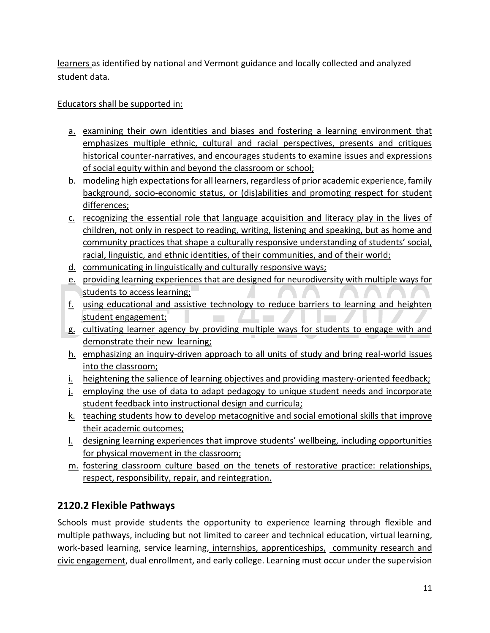learners as identified by national and Vermont guidance and locally collected and analyzed student data.

### Educators shall be supported in:

- a. examining their own identities and biases and fostering a learning environment that emphasizes multiple ethnic, cultural and racial perspectives, presents and critiques historical counter-narratives, and encourages students to examine issues and expressions of social equity within and beyond the classroom or school;
- b. modeling high expectations for all learners, regardless of prior academic experience, family background, socio-economic status, or (dis)abilities and promoting respect for student differences;
- c. recognizing the essential role that language acquisition and literacy play in the lives of children, not only in respect to reading, writing, listening and speaking, but as home and community practices that shape a culturally responsive understanding of students' social, racial, linguistic, and ethnic identities, of their communities, and of their world;
- d. communicating in linguistically and culturally responsive ways;
- e. providing learning experiences that are designed for neurodiversity with multiple ways for students to access learning;
- f. using educational and assistive technology to reduce barriers to learning and heighten student engagement;
- g. cultivating learner agency by providing multiple ways for students to engage with and demonstrate their new learning;
- h. emphasizing an inquiry-driven approach to all units of study and bring real-world issues into the classroom;
- i. heightening the salience of learning objectives and providing mastery-oriented feedback;
- j. employing the use of data to adapt pedagogy to unique student needs and incorporate student feedback into instructional design and curricula;
- k. teaching students how to develop metacognitive and social emotional skills that improve their academic outcomes;
- l. designing learning experiences that improve students' wellbeing, including opportunities for physical movement in the classroom;
- m. fostering classroom culture based on the tenets of restorative practice: relationships, respect, responsibility, repair, and reintegration.

### <span id="page-10-0"></span>**2120.2 Flexible Pathways**

Schools must provide students the opportunity to experience learning through flexible and multiple pathways, including but not limited to career and technical education, virtual learning, work-based learning, service learning, internships, apprenticeships, community research and civic engagement, dual enrollment, and early college. Learning must occur under the supervision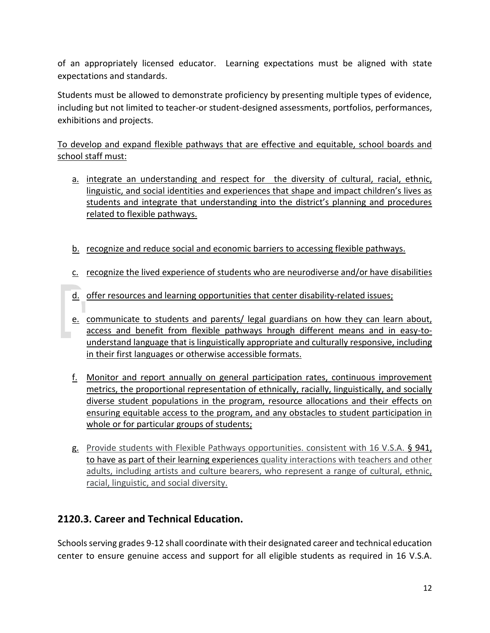of an appropriately licensed educator. Learning expectations must be aligned with state expectations and standards.

Students must be allowed to demonstrate proficiency by presenting multiple types of evidence, including but not limited to teacher-or student-designed assessments, portfolios, performances, exhibitions and projects.

To develop and expand flexible pathways that are effective and equitable, school boards and school staff must:

- a. integrate an understanding and respect for the diversity of cultural, racial, ethnic, linguistic, and social identities and experiences that shape and impact children's lives as students and integrate that understanding into the district's planning and procedures related to flexible pathways.
- b. recognize and reduce social and economic barriers to accessing flexible pathways.
- c. recognize the lived experience of students who are neurodiverse and/or have disabilities
- d. offer resources and learning opportunities that center disability-related issues;
- e. communicate to students and parents/ legal guardians on how they can learn about, access and benefit from flexible pathways hrough different means and in easy-tounderstand language that is linguistically appropriate and culturally responsive, including in their first languages or otherwise accessible formats.
- f. Monitor and report annually on general participation rates, continuous improvement metrics, the proportional representation of ethnically, racially, linguistically, and socially diverse student populations in the program, resource allocations and their effects on ensuring equitable access to the program, and any obstacles to student participation in whole or for particular groups of students;
- g. Provide students with Flexible Pathways opportunities. consistent with 16 V.S.A. § 941, to have as part of their learning experiences quality interactions with teachers and other adults, including artists and culture bearers, who represent a range of cultural, ethnic, racial, linguistic, and social diversity.

### <span id="page-11-0"></span>**2120.3. Career and Technical Education.**

Schools serving grades 9-12 shall coordinate with their designated career and technical education center to ensure genuine access and support for all eligible students as required in 16 V.S.A.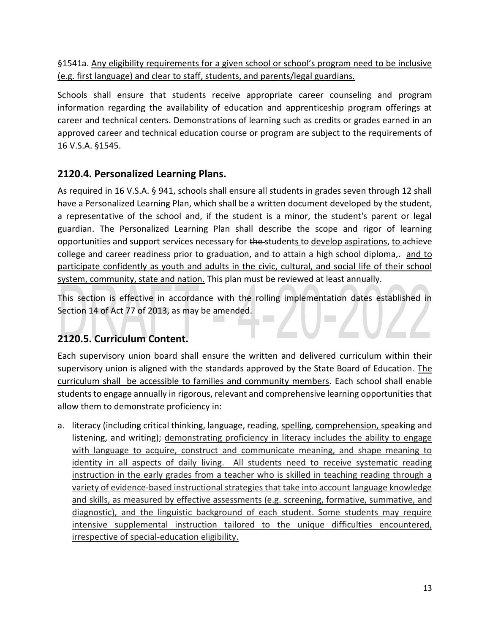§1541a. Any eligibility requirements for a given school or school's program need to be inclusive (e.g. first language) and clear to staff, students, and parents/legal guardians.

Schools shall ensure that students receive appropriate career counseling and program information regarding the availability of education and apprenticeship program offerings at career and technical centers. Demonstrations of learning such as credits or grades earned in an approved career and technical education course or program are subject to the requirements of 16 V.S.A. §1545.

### <span id="page-12-0"></span>**2120.4. Personalized Learning Plans.**

As required in 16 V.S.A. § 941, schools shall ensure all students in grades seven through 12 shall have a Personalized Learning Plan, which shall be a written document developed by the student, a representative of the school and, if the student is a minor, the student's parent or legal guardian. The Personalized Learning Plan shall describe the scope and rigor of learning opportunities and support services necessary for the students to develop aspirations, to achieve college and career readiness prior to graduation, and to attain a high school diploma, $\frac{1}{2}$  and to participate confidently as youth and adults in the civic, cultural, and social life of their school system, community, state and nation. This plan must be reviewed at least annually.

This section is effective in accordance with the rolling implementation dates established in Section 14 of Act 77 of 2013, as may be amended.

### <span id="page-12-1"></span>**2120.5. Curriculum Content.**

Each supervisory union board shall ensure the written and delivered curriculum within their supervisory union is aligned with the standards approved by the State Board of Education. The curriculum shall be accessible to families and community members. Each school shall enable students to engage annually in rigorous, relevant and comprehensive learning opportunities that allow them to demonstrate proficiency in:

a. literacy (including critical thinking, language, reading, spelling, comprehension, speaking and listening, and writing); demonstrating proficiency in literacy includes the ability to engage with language to acquire, construct and communicate meaning, and shape meaning to identity in all aspects of daily living. All students need to receive systematic reading instruction in the early grades from a teacher who is skilled in teaching reading through a variety of evidence-based instructional strategies that take into account language knowledge and skills, as measured by effective assessments (e.g. screening, formative, summative, and diagnostic), and the linguistic background of each student. Some students may require intensive supplemental instruction tailored to the unique difficulties encountered, irrespective of special-education eligibility.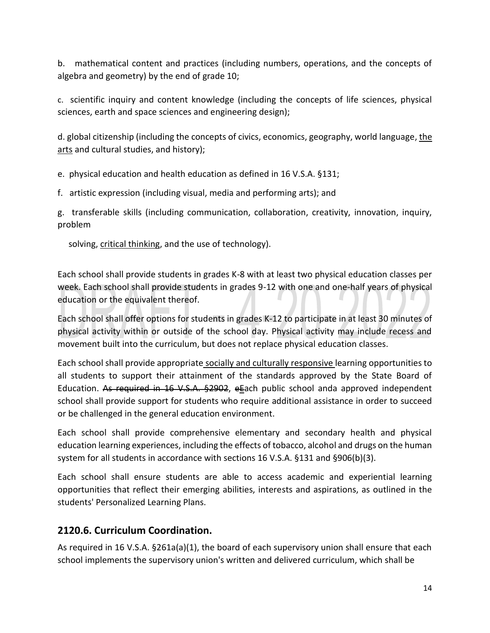b. mathematical content and practices (including numbers, operations, and the concepts of algebra and geometry) by the end of grade 10;

c. scientific inquiry and content knowledge (including the concepts of life sciences, physical sciences, earth and space sciences and engineering design);

d. global citizenship (including the concepts of civics, economics, geography, world language, the arts and cultural studies, and history);

e. physical education and health education as defined in 16 V.S.A. §131;

f. artistic expression (including visual, media and performing arts); and

g. transferable skills (including communication, collaboration, creativity, innovation, inquiry, problem

solving, critical thinking, and the use of technology).

Each school shall provide students in grades K-8 with at least two physical education classes per week. Each school shall provide students in grades 9-12 with one and one-half years of physical education or the equivalent thereof.

Each school shall offer options for students in grades K-12 to participate in at least 30 minutes of physical activity within or outside of the school day. Physical activity may include recess and movement built into the curriculum, but does not replace physical education classes.

Each school shall provide appropriate socially and culturally responsive learning opportunities to all students to support their attainment of the standards approved by the State Board of Education. As required in 16 V.S.A. §2902, eEach public school anda approved independent school shall provide support for students who require additional assistance in order to succeed or be challenged in the general education environment.

Each school shall provide comprehensive elementary and secondary health and physical education learning experiences, including the effects of tobacco, alcohol and drugs on the human system for all students in accordance with sections 16 V.S.A. §131 and §906(b)(3).

Each school shall ensure students are able to access academic and experiential learning opportunities that reflect their emerging abilities, interests and aspirations, as outlined in the students' Personalized Learning Plans.

### <span id="page-13-0"></span>**2120.6. Curriculum Coordination.**

As required in 16 V.S.A. §261a(a)(1), the board of each supervisory union shall ensure that each school implements the supervisory union's written and delivered curriculum, which shall be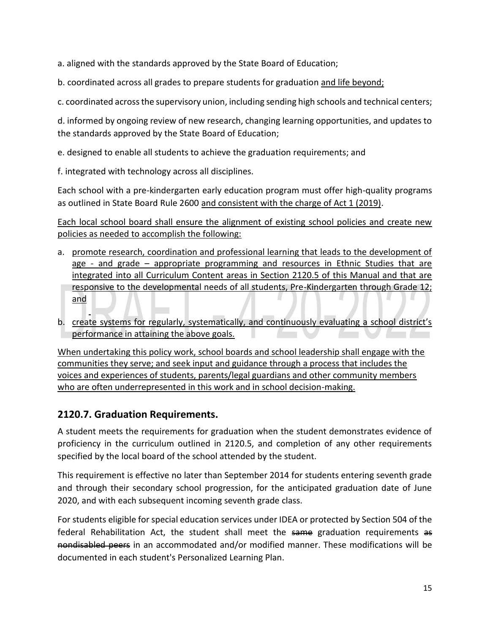a. aligned with the standards approved by the State Board of Education;

b. coordinated across all grades to prepare students for graduation and life beyond;

c. coordinated across the supervisory union, including sending high schools and technical centers;

d. informed by ongoing review of new research, changing learning opportunities, and updates to the standards approved by the State Board of Education;

e. designed to enable all students to achieve the graduation requirements; and

f. integrated with technology across all disciplines.

Each school with a pre-kindergarten early education program must offer high-quality programs as outlined in State Board Rule 2600 and consistent with the charge of Act 1 (2019).

Each local school board shall ensure the alignment of existing school policies and create new policies as needed to accomplish the following:

- a. promote research, coordination and professional learning that leads to the development of age - and grade – appropriate programming and resources in Ethnic Studies that are integrated into all Curriculum Content areas in Section 2120.5 of this Manual and that are responsive to the developmental needs of all students, Pre-Kindergarten through Grade 12; and
- b. create systems for regularly, systematically, and continuously evaluating a school district's performance in attaining the above goals.

When undertaking this policy work, school boards and school leadership shall engage with the communities they serve; and seek input and guidance through a process that includes the voices and experiences of students, parents/legal guardians and other community members who are often underrepresented in this work and in school decision-making.

### <span id="page-14-0"></span>**2120.7. Graduation Requirements.**

A student meets the requirements for graduation when the student demonstrates evidence of proficiency in the curriculum outlined in 2120.5, and completion of any other requirements specified by the local board of the school attended by the student.

This requirement is effective no later than September 2014 for students entering seventh grade and through their secondary school progression, for the anticipated graduation date of June 2020, and with each subsequent incoming seventh grade class.

For students eligible for special education services under IDEA or protected by Section 504 of the federal Rehabilitation Act, the student shall meet the same graduation requirements as nondisabled peers in an accommodated and/or modified manner. These modifications will be documented in each student's Personalized Learning Plan.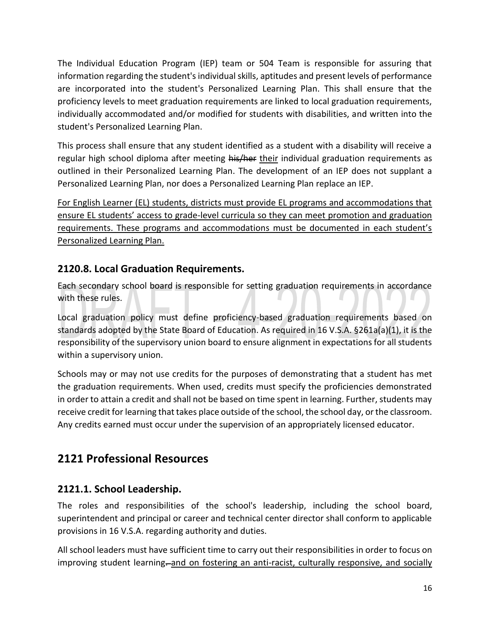The Individual Education Program (IEP) team or 504 Team is responsible for assuring that information regarding the student's individual skills, aptitudes and present levels of performance are incorporated into the student's Personalized Learning Plan. This shall ensure that the proficiency levels to meet graduation requirements are linked to local graduation requirements, individually accommodated and/or modified for students with disabilities, and written into the student's Personalized Learning Plan.

This process shall ensure that any student identified as a student with a disability will receive a regular high school diploma after meeting his/her their individual graduation requirements as outlined in their Personalized Learning Plan. The development of an IEP does not supplant a Personalized Learning Plan, nor does a Personalized Learning Plan replace an IEP.

For English Learner (EL) students, districts must provide EL programs and accommodations that ensure EL students' access to grade-level curricula so they can meet promotion and graduation requirements. These programs and accommodations must be documented in each student's Personalized Learning Plan.

### <span id="page-15-0"></span>**2120.8. Local Graduation Requirements.**

Each secondary school board is responsible for setting graduation requirements in accordance with these rules.

Local graduation policy must define proficiency-based graduation requirements based on standards adopted by the State Board of Education. As required in 16 V.S.A. §261a(a)(1), it is the responsibility of the supervisory union board to ensure alignment in expectations for all students within a supervisory union.

Schools may or may not use credits for the purposes of demonstrating that a student has met the graduation requirements. When used, credits must specify the proficiencies demonstrated in order to attain a credit and shall not be based on time spent in learning. Further, students may receive credit for learning that takes place outside of the school, the school day, or the classroom. Any credits earned must occur under the supervision of an appropriately licensed educator.

# <span id="page-15-1"></span>**2121 Professional Resources**

### <span id="page-15-2"></span>**2121.1. School Leadership.**

The roles and responsibilities of the school's leadership, including the school board, superintendent and principal or career and technical center director shall conform to applicable provisions in 16 V.S.A. regarding authority and duties.

All school leaders must have sufficient time to carry out their responsibilities in order to focus on improving student learning-and on fostering an anti-racist, culturally responsive, and socially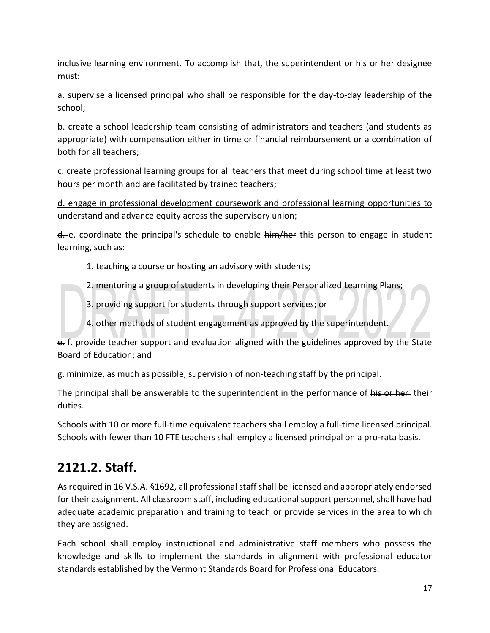inclusive learning environment. To accomplish that, the superintendent or his or her designee must:

a. supervise a licensed principal who shall be responsible for the day-to-day leadership of the school;

b. create a school leadership team consisting of administrators and teachers (and students as appropriate) with compensation either in time or financial reimbursement or a combination of both for all teachers;

c. create professional learning groups for all teachers that meet during school time at least two hours per month and are facilitated by trained teachers;

d. engage in professional development coursework and professional learning opportunities to understand and advance equity across the supervisory union;

 $d$ -e. coordinate the principal's schedule to enable  $\frac{1}{2}$  him/her this person to engage in student learning, such as:

- 1. teaching a course or hosting an advisory with students;
- 2. mentoring a group of students in developing their Personalized Learning Plans;
- 3. providing support for students through support services; or
- 4. other methods of student engagement as approved by the superintendent.

e. f. provide teacher support and evaluation aligned with the guidelines approved by the State Board of Education; and

g. minimize, as much as possible, supervision of non-teaching staff by the principal.

The principal shall be answerable to the superintendent in the performance of his or her their duties.

Schools with 10 or more full-time equivalent teachers shall employ a full-time licensed principal. Schools with fewer than 10 FTE teachers shall employ a licensed principal on a pro-rata basis.

# <span id="page-16-0"></span>**2121.2. Staff.**

As required in 16 V.S.A. §1692, all professional staff shall be licensed and appropriately endorsed for their assignment. All classroom staff, including educational support personnel, shall have had adequate academic preparation and training to teach or provide services in the area to which they are assigned.

Each school shall employ instructional and administrative staff members who possess the knowledge and skills to implement the standards in alignment with professional educator standards established by the Vermont Standards Board for Professional Educators.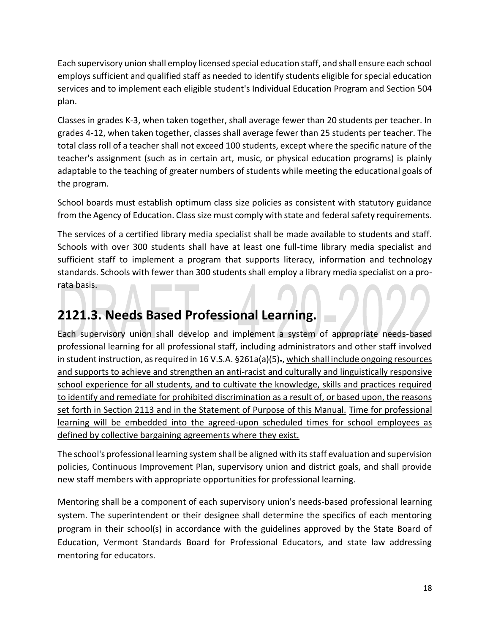Each supervisory union shall employ licensed special education staff, and shall ensure each school employs sufficient and qualified staff as needed to identify students eligible for special education services and to implement each eligible student's Individual Education Program and Section 504 plan.

Classes in grades K-3, when taken together, shall average fewer than 20 students per teacher. In grades 4-12, when taken together, classes shall average fewer than 25 students per teacher. The total class roll of a teacher shall not exceed 100 students, except where the specific nature of the teacher's assignment (such as in certain art, music, or physical education programs) is plainly adaptable to the teaching of greater numbers of students while meeting the educational goals of the program.

School boards must establish optimum class size policies as consistent with statutory guidance from the Agency of Education. Class size must comply with state and federal safety requirements.

The services of a certified library media specialist shall be made available to students and staff. Schools with over 300 students shall have at least one full-time library media specialist and sufficient staff to implement a program that supports literacy, information and technology standards. Schools with fewer than 300 students shall employ a library media specialist on a prorata basis.

# <span id="page-17-0"></span>**2121.3. Needs Based Professional Learning.**

Each supervisory union shall develop and implement a system of appropriate needs-based professional learning for all professional staff, including administrators and other staff involved in student instruction, as required in 16 V.S.A.  $\S 261a(a)(5)$ ., which shall include ongoing resources and supports to achieve and strengthen an anti-racist and culturally and linguistically responsive school experience for all students, and to cultivate the knowledge, skills and practices required to identify and remediate for prohibited discrimination as a result of, or based upon, the reasons set forth in Section 2113 and in the Statement of Purpose of this Manual. Time for professional learning will be embedded into the agreed-upon scheduled times for school employees as defined by collective bargaining agreements where they exist.

The school's professional learning system shall be aligned with its staff evaluation and supervision policies, Continuous Improvement Plan, supervisory union and district goals, and shall provide new staff members with appropriate opportunities for professional learning.

Mentoring shall be a component of each supervisory union's needs-based professional learning system. The superintendent or their designee shall determine the specifics of each mentoring program in their school(s) in accordance with the guidelines approved by the State Board of Education, Vermont Standards Board for Professional Educators, and state law addressing mentoring for educators.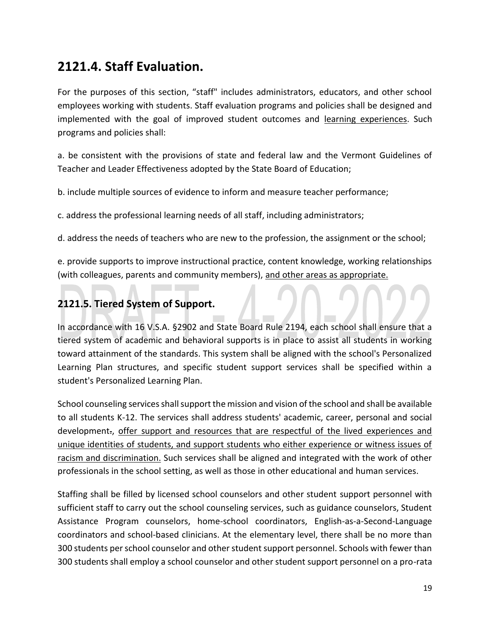# <span id="page-18-0"></span>**2121.4. Staff Evaluation.**

For the purposes of this section, "staff" includes administrators, educators, and other school employees working with students. Staff evaluation programs and policies shall be designed and implemented with the goal of improved student outcomes and learning experiences. Such programs and policies shall:

a. be consistent with the provisions of state and federal law and the Vermont Guidelines of Teacher and Leader Effectiveness adopted by the State Board of Education;

b. include multiple sources of evidence to inform and measure teacher performance;

c. address the professional learning needs of all staff, including administrators;

d. address the needs of teachers who are new to the profession, the assignment or the school;

e. provide supports to improve instructional practice, content knowledge, working relationships (with colleagues, parents and community members), and other areas as appropriate.

### <span id="page-18-1"></span>**2121.5. Tiered System of Support.**

In accordance with 16 V.S.A. §2902 and State Board Rule 2194, each school shall ensure that a tiered system of academic and behavioral supports is in place to assist all students in working toward attainment of the standards. This system shall be aligned with the school's Personalized Learning Plan structures, and specific student support services shall be specified within a student's Personalized Learning Plan.

School counseling services shall support the mission and vision of the school and shall be available to all students K-12. The services shall address students' academic, career, personal and social development., offer support and resources that are respectful of the lived experiences and unique identities of students, and support students who either experience or witness issues of racism and discrimination. Such services shall be aligned and integrated with the work of other professionals in the school setting, as well as those in other educational and human services.

Staffing shall be filled by licensed school counselors and other student support personnel with sufficient staff to carry out the school counseling services, such as guidance counselors, Student Assistance Program counselors, home-school coordinators, English-as-a-Second-Language coordinators and school-based clinicians. At the elementary level, there shall be no more than 300 students per school counselor and other student support personnel. Schools with fewer than 300 students shall employ a school counselor and other student support personnel on a pro-rata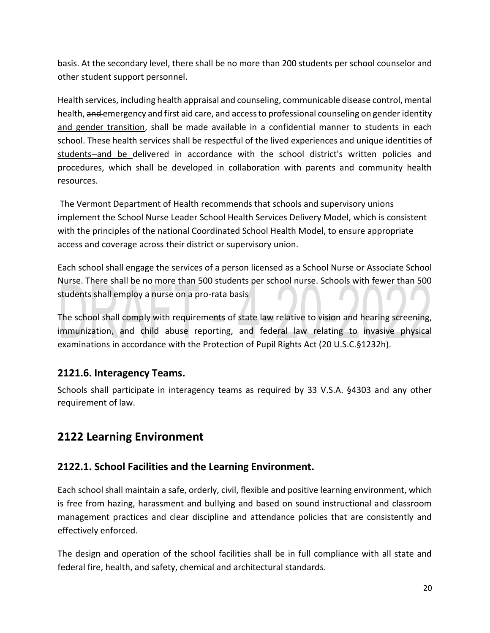basis. At the secondary level, there shall be no more than 200 students per school counselor and other student support personnel.

Health services, including health appraisal and counseling, communicable disease control, mental health, and emergency and first aid care, and access to professional counseling on gender identity and gender transition, shall be made available in a confidential manner to students in each school. These health services shall be respectful of the lived experiences and unique identities of students-and be delivered in accordance with the school district's written policies and procedures, which shall be developed in collaboration with parents and community health resources.

The Vermont Department of Health recommends that schools and supervisory unions implement the School Nurse Leader School Health Services Delivery Model, which is consistent with the principles of the national Coordinated School Health Model, to ensure appropriate access and coverage across their district or supervisory union.

Each school shall engage the services of a person licensed as a School Nurse or Associate School Nurse. There shall be no more than 500 students per school nurse. Schools with fewer than 500 students shall employ a nurse on a pro-rata basis

The school shall comply with requirements of state law relative to vision and hearing screening, immunization, and child abuse reporting, and federal law relating to invasive physical examinations in accordance with the Protection of Pupil Rights Act (20 U.S.C.§1232h).

### <span id="page-19-0"></span>**2121.6. Interagency Teams.**

Schools shall participate in interagency teams as required by 33 V.S.A. §4303 and any other requirement of law.

# <span id="page-19-1"></span>**2122 Learning Environment**

### <span id="page-19-2"></span>**2122.1. School Facilities and the Learning Environment.**

Each school shall maintain a safe, orderly, civil, flexible and positive learning environment, which is free from hazing, harassment and bullying and based on sound instructional and classroom management practices and clear discipline and attendance policies that are consistently and effectively enforced.

The design and operation of the school facilities shall be in full compliance with all state and federal fire, health, and safety, chemical and architectural standards.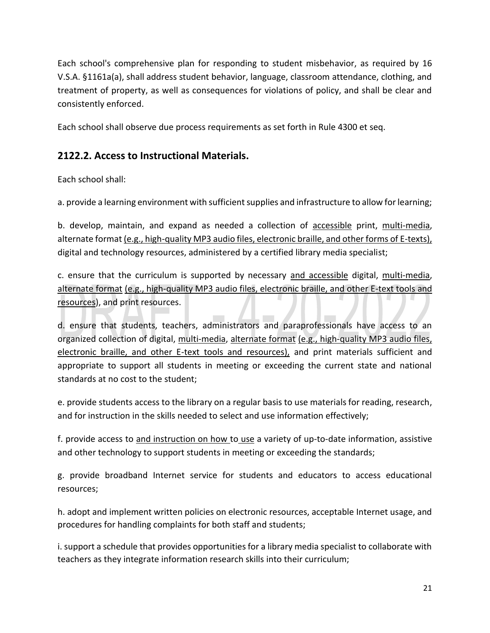Each school's comprehensive plan for responding to student misbehavior, as required by 16 V.S.A. §1161a(a), shall address student behavior, language, classroom attendance, clothing, and treatment of property, as well as consequences for violations of policy, and shall be clear and consistently enforced.

Each school shall observe due process requirements as set forth in Rule 4300 et seq.

### <span id="page-20-0"></span>**2122.2. Access to Instructional Materials.**

Each school shall:

a. provide a learning environment with sufficient supplies and infrastructure to allow for learning;

b. develop, maintain, and expand as needed a collection of accessible print, multi-media, alternate format (e.g., high-quality MP3 audio files, electronic braille, and other forms of E-texts), digital and technology resources, administered by a certified library media specialist;

c. ensure that the curriculum is supported by necessary and accessible digital, multi-media, alternate format (e.g., high-quality MP3 audio files, electronic braille, and other E-text tools and resources), and print resources.

d. ensure that students, teachers, administrators and paraprofessionals have access to an organized collection of digital, multi-media, alternate format (e.g., high-quality MP3 audio files, electronic braille, and other E-text tools and resources), and print materials sufficient and appropriate to support all students in meeting or exceeding the current state and national standards at no cost to the student;

e. provide students access to the library on a regular basis to use materials for reading, research, and for instruction in the skills needed to select and use information effectively;

f. provide access to and instruction on how to use a variety of up-to-date information, assistive and other technology to support students in meeting or exceeding the standards;

g. provide broadband Internet service for students and educators to access educational resources;

h. adopt and implement written policies on electronic resources, acceptable Internet usage, and procedures for handling complaints for both staff and students;

i. support a schedule that provides opportunities for a library media specialist to collaborate with teachers as they integrate information research skills into their curriculum;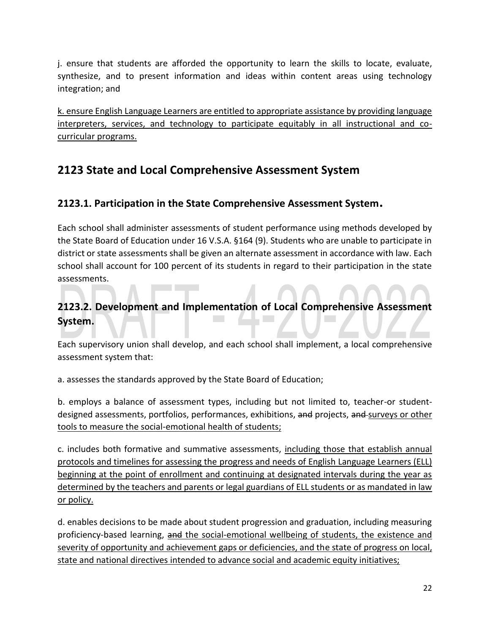j. ensure that students are afforded the opportunity to learn the skills to locate, evaluate, synthesize, and to present information and ideas within content areas using technology integration; and

k. ensure English Language Learners are entitled to appropriate assistance by providing language interpreters, services, and technology to participate equitably in all instructional and cocurricular programs.

# <span id="page-21-0"></span>**2123 State and Local Comprehensive Assessment System**

### <span id="page-21-1"></span>**2123.1. Participation in the State Comprehensive Assessment System.**

Each school shall administer assessments of student performance using methods developed by the State Board of Education under 16 V.S.A. §164 (9). Students who are unable to participate in district or state assessments shall be given an alternate assessment in accordance with law. Each school shall account for 100 percent of its students in regard to their participation in the state assessments.

### <span id="page-21-2"></span>**2123.2. Development and Implementation of Local Comprehensive Assessment System.**

Each supervisory union shall develop, and each school shall implement, a local comprehensive assessment system that:

a. assesses the standards approved by the State Board of Education;

b. employs a balance of assessment types, including but not limited to, teacher-or studentdesigned assessments, portfolios, performances, exhibitions, and projects, and surveys or other tools to measure the social-emotional health of students;

c. includes both formative and summative assessments, including those that establish annual protocols and timelines for assessing the progress and needs of English Language Learners (ELL) beginning at the point of enrollment and continuing at designated intervals during the year as determined by the teachers and parents or legal guardians of ELL students or as mandated in law or policy.

d. enables decisions to be made about student progression and graduation, including measuring proficiency-based learning, and the social-emotional wellbeing of students, the existence and severity of opportunity and achievement gaps or deficiencies, and the state of progress on local, state and national directives intended to advance social and academic equity initiatives;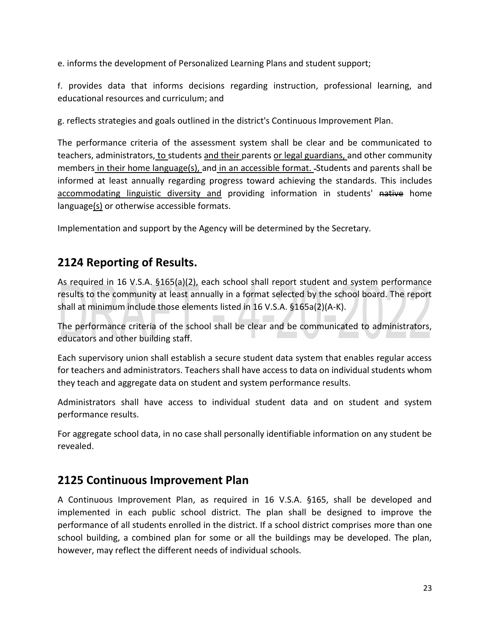e. informs the development of Personalized Learning Plans and student support;

f. provides data that informs decisions regarding instruction, professional learning, and educational resources and curriculum; and

g. reflects strategies and goals outlined in the district's Continuous Improvement Plan.

The performance criteria of the assessment system shall be clear and be communicated to teachers, administrators, to students and their parents or legal guardians, and other community members in their home language(s), and in an accessible format. Students and parents shall be informed at least annually regarding progress toward achieving the standards. This includes accommodating linguistic diversity and providing information in students' native home language(s) or otherwise accessible formats.

Implementation and support by the Agency will be determined by the Secretary.

# <span id="page-22-0"></span>**2124 Reporting of Results.**

As required in 16 V.S.A. §165(a)(2), each school shall report student and system performance results to the community at least annually in a format selected by the school board. The report shall at minimum include those elements listed in 16 V.S.A. §165a(2)(A-K).

The performance criteria of the school shall be clear and be communicated to administrators, educators and other building staff.

Each supervisory union shall establish a secure student data system that enables regular access for teachers and administrators. Teachers shall have access to data on individual students whom they teach and aggregate data on student and system performance results.

Administrators shall have access to individual student data and on student and system performance results.

For aggregate school data, in no case shall personally identifiable information on any student be revealed.

### <span id="page-22-1"></span>**2125 Continuous Improvement Plan**

A Continuous Improvement Plan, as required in 16 V.S.A. §165, shall be developed and implemented in each public school district. The plan shall be designed to improve the performance of all students enrolled in the district. If a school district comprises more than one school building, a combined plan for some or all the buildings may be developed. The plan, however, may reflect the different needs of individual schools.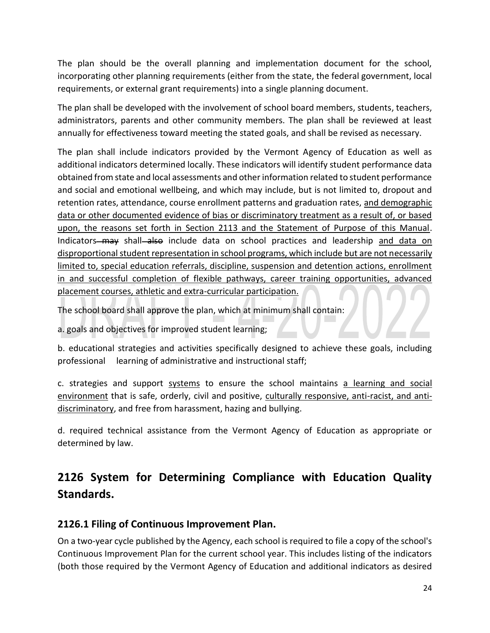The plan should be the overall planning and implementation document for the school, incorporating other planning requirements (either from the state, the federal government, local requirements, or external grant requirements) into a single planning document.

The plan shall be developed with the involvement of school board members, students, teachers, administrators, parents and other community members. The plan shall be reviewed at least annually for effectiveness toward meeting the stated goals, and shall be revised as necessary.

The plan shall include indicators provided by the Vermont Agency of Education as well as additional indicators determined locally. These indicators will identify student performance data obtained from state and local assessments and other information related to student performance and social and emotional wellbeing, and which may include, but is not limited to, dropout and retention rates, attendance, course enrollment patterns and graduation rates, and demographic data or other documented evidence of bias or discriminatory treatment as a result of, or based upon, the reasons set forth in Section 2113 and the Statement of Purpose of this Manual. Indicators—may shall—also include data on school practices and leadership and data on disproportional student representation in school programs, which include but are not necessarily limited to, special education referrals, discipline, suspension and detention actions, enrollment in and successful completion of flexible pathways, career training opportunities, advanced placement courses, athletic and extra-curricular participation.

The school board shall approve the plan, which at minimum shall contain:

a. goals and objectives for improved student learning;

b. educational strategies and activities specifically designed to achieve these goals, including professional learning of administrative and instructional staff;

c. strategies and support systems to ensure the school maintains a learning and social environment that is safe, orderly, civil and positive, culturally responsive, anti-racist, and antidiscriminatory, and free from harassment, hazing and bullying.

d. required technical assistance from the Vermont Agency of Education as appropriate or determined by law.

# <span id="page-23-0"></span>**2126 System for Determining Compliance with Education Quality Standards.**

### <span id="page-23-1"></span>**2126.1 Filing of Continuous Improvement Plan.**

On a two-year cycle published by the Agency, each school is required to file a copy of the school's Continuous Improvement Plan for the current school year. This includes listing of the indicators (both those required by the Vermont Agency of Education and additional indicators as desired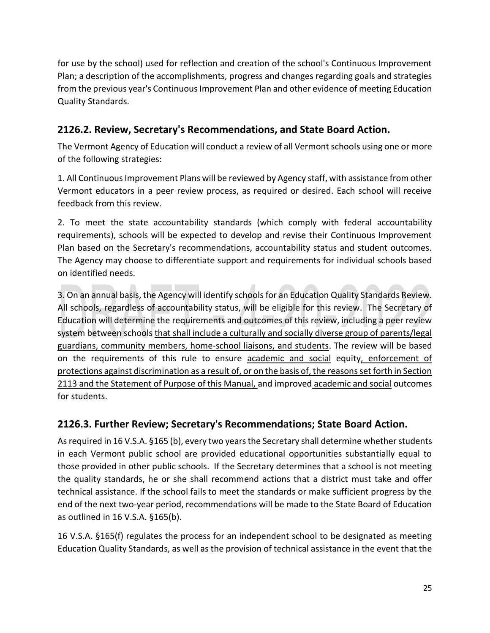for use by the school) used for reflection and creation of the school's Continuous Improvement Plan; a description of the accomplishments, progress and changes regarding goals and strategies from the previous year's Continuous Improvement Plan and other evidence of meeting Education Quality Standards.

### <span id="page-24-0"></span>**2126.2. Review, Secretary's Recommendations, and State Board Action.**

The Vermont Agency of Education will conduct a review of all Vermont schools using one or more of the following strategies:

1. All Continuous Improvement Plans will be reviewed by Agency staff, with assistance from other Vermont educators in a peer review process, as required or desired. Each school will receive feedback from this review.

2. To meet the state accountability standards (which comply with federal accountability requirements), schools will be expected to develop and revise their Continuous Improvement Plan based on the Secretary's recommendations, accountability status and student outcomes. The Agency may choose to differentiate support and requirements for individual schools based on identified needs.

3. On an annual basis, the Agency will identify schools for an Education Quality Standards Review. All schools, regardless of accountability status, will be eligible for this review. The Secretary of Education will determine the requirements and outcomes of this review, including a peer review system between schools that shall include a culturally and socially diverse group of parents/legal guardians, community members, home-school liaisons, and students. The review will be based on the requirements of this rule to ensure academic and social equity, enforcement of protections against discrimination as a result of, or on the basis of, the reasons set forth in Section 2113 and the Statement of Purpose of this Manual, and improved academic and social outcomes for students.

### <span id="page-24-1"></span>**2126.3. Further Review; Secretary's Recommendations; State Board Action.**

As required in 16 V.S.A. §165 (b), every two years the Secretary shall determine whether students in each Vermont public school are provided educational opportunities substantially equal to those provided in other public schools. If the Secretary determines that a school is not meeting the quality standards, he or she shall recommend actions that a district must take and offer technical assistance. If the school fails to meet the standards or make sufficient progress by the end of the next two-year period, recommendations will be made to the State Board of Education as outlined in 16 V.S.A. §165(b).

16 V.S.A. §165(f) regulates the process for an independent school to be designated as meeting Education Quality Standards, as well as the provision of technical assistance in the event that the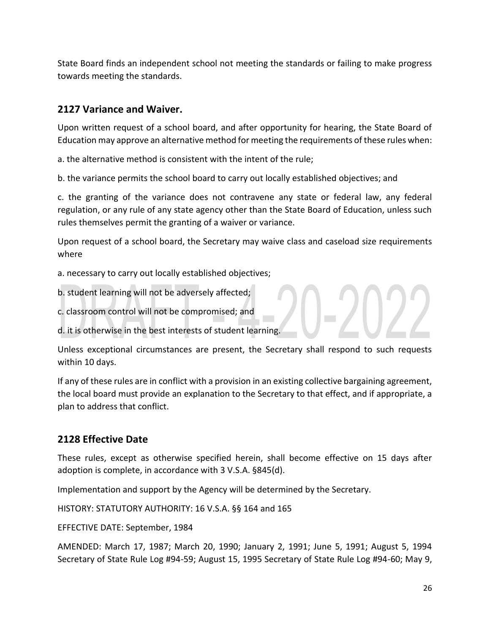State Board finds an independent school not meeting the standards or failing to make progress towards meeting the standards.

### <span id="page-25-0"></span>**2127 Variance and Waiver.**

Upon written request of a school board, and after opportunity for hearing, the State Board of Education may approve an alternative method for meeting the requirements of these rules when:

a. the alternative method is consistent with the intent of the rule;

b. the variance permits the school board to carry out locally established objectives; and

c. the granting of the variance does not contravene any state or federal law, any federal regulation, or any rule of any state agency other than the State Board of Education, unless such rules themselves permit the granting of a waiver or variance.

Upon request of a school board, the Secretary may waive class and caseload size requirements where

a. necessary to carry out locally established objectives;

b. student learning will not be adversely affected;

c. classroom control will not be compromised; and

d. it is otherwise in the best interests of student learning.

Unless exceptional circumstances are present, the Secretary shall respond to such requests within 10 days.

If any of these rules are in conflict with a provision in an existing collective bargaining agreement, the local board must provide an explanation to the Secretary to that effect, and if appropriate, a plan to address that conflict.

### <span id="page-25-1"></span>**2128 Effective Date**

These rules, except as otherwise specified herein, shall become effective on 15 days after adoption is complete, in accordance with 3 V.S.A. §845(d).

Implementation and support by the Agency will be determined by the Secretary.

HISTORY: STATUTORY AUTHORITY: 16 V.S.A. §§ 164 and 165

EFFECTIVE DATE: September, 1984

AMENDED: March 17, 1987; March 20, 1990; January 2, 1991; June 5, 1991; August 5, 1994 Secretary of State Rule Log #94-59; August 15, 1995 Secretary of State Rule Log #94-60; May 9,